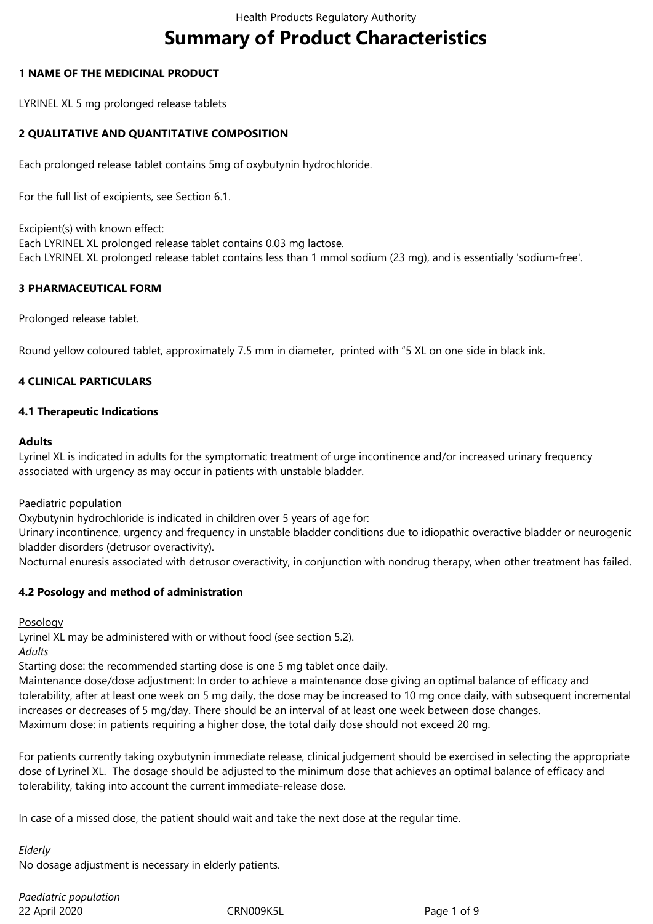# **Summary of Product Characteristics**

## **1 NAME OF THE MEDICINAL PRODUCT**

LYRINEL XL 5 mg prolonged release tablets

## **2 QUALITATIVE AND QUANTITATIVE COMPOSITION**

Each prolonged release tablet contains 5mg of oxybutynin hydrochloride.

For the full list of excipients, see Section 6.1.

Excipient(s) with known effect: Each LYRINEL XL prolonged release tablet contains 0.03 mg lactose. Each LYRINEL XL prolonged release tablet contains less than 1 mmol sodium (23 mg), and is essentially 'sodium-free'.

## **3 PHARMACEUTICAL FORM**

Prolonged release tablet.

Round yellow coloured tablet, approximately 7.5 mm in diameter, printed with "5 XL on one side in black ink.

## **4 CLINICAL PARTICULARS**

## **4.1 Therapeutic Indications**

#### **Adults**

Lyrinel XL is indicated in adults for the symptomatic treatment of urge incontinence and/or increased urinary frequency associated with urgency as may occur in patients with unstable bladder.

Paediatric population

Oxybutynin hydrochloride is indicated in children over 5 years of age for:

Urinary incontinence, urgency and frequency in unstable bladder conditions due to idiopathic overactive bladder or neurogenic bladder disorders (detrusor overactivity).

Nocturnal enuresis associated with detrusor overactivity, in conjunction with nondrug therapy, when other treatment has failed.

#### **4.2 Posology and method of administration**

Posology

Lyrinel XL may be administered with or without food (see section 5.2).

*Adults* 

Starting dose: the recommended starting dose is one 5 mg tablet once daily.

Maintenance dose/dose adjustment: In order to achieve a maintenance dose giving an optimal balance of efficacy and tolerability, after at least one week on 5 mg daily, the dose may be increased to 10 mg once daily, with subsequent incremental increases or decreases of 5 mg/day. There should be an interval of at least one week between dose changes. Maximum dose: in patients requiring a higher dose, the total daily dose should not exceed 20 mg.

For patients currently taking oxybutynin immediate release, clinical judgement should be exercised in selecting the appropriate dose of Lyrinel XL. The dosage should be adjusted to the minimum dose that achieves an optimal balance of efficacy and tolerability, taking into account the current immediate-release dose.

In case of a missed dose, the patient should wait and take the next dose at the regular time.

*Elderly*

No dosage adjustment is necessary in elderly patients.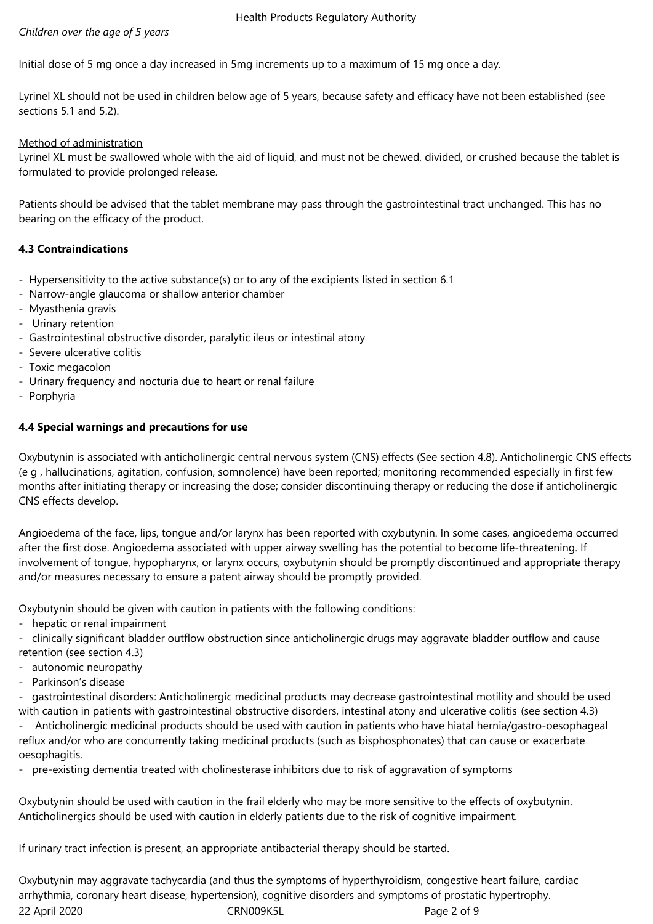# *Children over the age of 5 years*

Initial dose of 5 mg once a day increased in 5mg increments up to a maximum of 15 mg once a day.

Lyrinel XL should not be used in children below age of 5 years, because safety and efficacy have not been established (see sections 5.1 and 5.2).

## Method of administration

Lyrinel XL must be swallowed whole with the aid of liquid, and must not be chewed, divided, or crushed because the tablet is formulated to provide prolonged release.

Patients should be advised that the tablet membrane may pass through the gastrointestinal tract unchanged. This has no bearing on the efficacy of the product.

# **4.3 Contraindications**

- Hypersensitivity to the active substance(s) or to any of the excipients listed in section 6.1
- Narrow-angle glaucoma or shallow anterior chamber
- Myasthenia gravis
- Urinary retention
- Gastrointestinal obstructive disorder, paralytic ileus or intestinal atony
- Severe ulcerative colitis
- Toxic megacolon
- Urinary frequency and nocturia due to heart or renal failure
- Porphyria

## **4.4 Special warnings and precautions for use**

Oxybutynin is associated with anticholinergic central nervous system (CNS) effects (See section 4.8). Anticholinergic CNS effects (e g , hallucinations, agitation, confusion, somnolence) have been reported; monitoring recommended especially in first few months after initiating therapy or increasing the dose; consider discontinuing therapy or reducing the dose if anticholinergic CNS effects develop.

Angioedema of the face, lips, tongue and/or larynx has been reported with oxybutynin. In some cases, angioedema occurred after the first dose. Angioedema associated with upper airway swelling has the potential to become life-threatening. If involvement of tongue, hypopharynx, or larynx occurs, oxybutynin should be promptly discontinued and appropriate therapy and/or measures necessary to ensure a patent airway should be promptly provided.

Oxybutynin should be given with caution in patients with the following conditions:

- hepatic or renal impairment
- clinically significant bladder outflow obstruction since anticholinergic drugs may aggravate bladder outflow and cause
- retention (see section 4.3)
- autonomic neuropathy
- Parkinson's disease

- gastrointestinal disorders: Anticholinergic medicinal products may decrease gastrointestinal motility and should be used with caution in patients with gastrointestinal obstructive disorders, intestinal atony and ulcerative colitis (see section 4.3)

- Anticholinergic medicinal products should be used with caution in patients who have hiatal hernia/gastro-oesophageal reflux and/or who are concurrently taking medicinal products (such as bisphosphonates) that can cause or exacerbate oesophagitis.

- pre-existing dementia treated with cholinesterase inhibitors due to risk of aggravation of symptoms

Oxybutynin should be used with caution in the frail elderly who may be more sensitive to the effects of oxybutynin. Anticholinergics should be used with caution in elderly patients due to the risk of cognitive impairment.

If urinary tract infection is present, an appropriate antibacterial therapy should be started.

22 April 2020 CRN009K5L Page 2 of 9 Oxybutynin may aggravate tachycardia (and thus the symptoms of hyperthyroidism, congestive heart failure, cardiac arrhythmia, coronary heart disease, hypertension), cognitive disorders and symptoms of prostatic hypertrophy.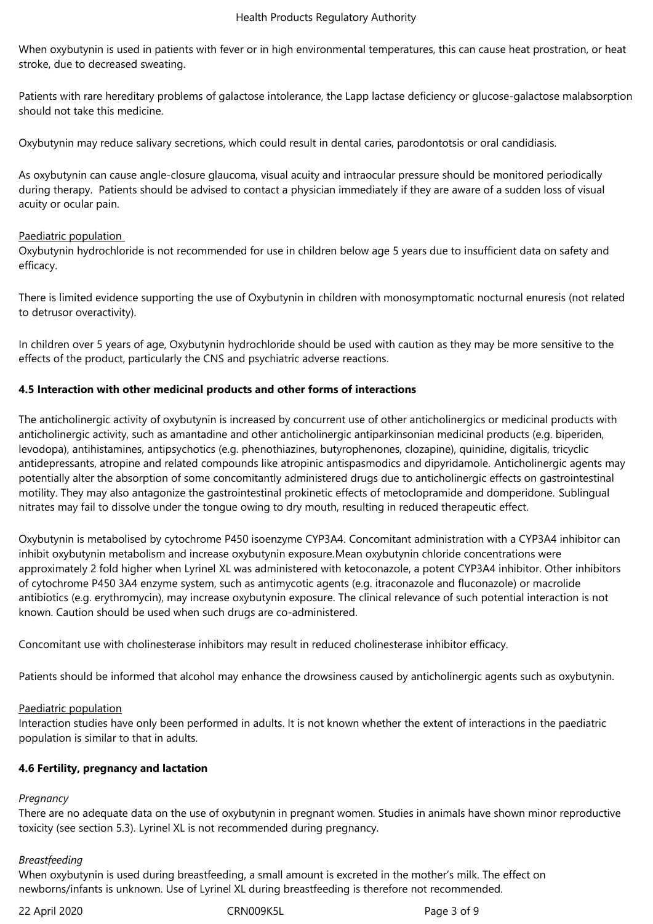When oxybutynin is used in patients with fever or in high environmental temperatures, this can cause heat prostration, or heat stroke, due to decreased sweating.

Patients with rare hereditary problems of galactose intolerance, the Lapp lactase deficiency or glucose-galactose malabsorption should not take this medicine.

Oxybutynin may reduce salivary secretions, which could result in dental caries, parodontotsis or oral candidiasis.

As oxybutynin can cause angle-closure glaucoma, visual acuity and intraocular pressure should be monitored periodically during therapy. Patients should be advised to contact a physician immediately if they are aware of a sudden loss of visual acuity or ocular pain.

## Paediatric population

Oxybutynin hydrochloride is not recommended for use in children below age 5 years due to insufficient data on safety and efficacy.

There is limited evidence supporting the use of Oxybutynin in children with monosymptomatic nocturnal enuresis (not related to detrusor overactivity).

In children over 5 years of age, Oxybutynin hydrochloride should be used with caution as they may be more sensitive to the effects of the product, particularly the CNS and psychiatric adverse reactions.

## **4.5 Interaction with other medicinal products and other forms of interactions**

The anticholinergic activity of oxybutynin is increased by concurrent use of other anticholinergics or medicinal products with anticholinergic activity, such as amantadine and other anticholinergic antiparkinsonian medicinal products (e.g. biperiden, levodopa), antihistamines, antipsychotics (e.g. phenothiazines, butyrophenones, clozapine), quinidine, digitalis, tricyclic antidepressants, atropine and related compounds like atropinic antispasmodics and dipyridamole. Anticholinergic agents may potentially alter the absorption of some concomitantly administered drugs due to anticholinergic effects on gastrointestinal motility. They may also antagonize the gastrointestinal prokinetic effects of metoclopramide and domperidone. Sublingual nitrates may fail to dissolve under the tongue owing to dry mouth, resulting in reduced therapeutic effect.

Oxybutynin is metabolised by cytochrome P450 isoenzyme CYP3A4. Concomitant administration with a CYP3A4 inhibitor can inhibit oxybutynin metabolism and increase oxybutynin exposure.Mean oxybutynin chloride concentrations were approximately 2 fold higher when Lyrinel XL was administered with ketoconazole, a potent CYP3A4 inhibitor. Other inhibitors of cytochrome P450 3A4 enzyme system, such as antimycotic agents (e.g. itraconazole and fluconazole) or macrolide antibiotics (e.g. erythromycin), may increase oxybutynin exposure. The clinical relevance of such potential interaction is not known. Caution should be used when such drugs are co-administered.

Concomitant use with cholinesterase inhibitors may result in reduced cholinesterase inhibitor efficacy.

Patients should be informed that alcohol may enhance the drowsiness caused by anticholinergic agents such as oxybutynin.

#### Paediatric population

Interaction studies have only been performed in adults. It is not known whether the extent of interactions in the paediatric population is similar to that in adults.

#### **4.6 Fertility, pregnancy and lactation**

# *Pregnancy*

There are no adequate data on the use of oxybutynin in pregnant women. Studies in animals have shown minor reproductive toxicity (see section 5.3). Lyrinel XL is not recommended during pregnancy.

#### *Breastfeeding*

When oxybutynin is used during breastfeeding, a small amount is excreted in the mother's milk. The effect on newborns/infants is unknown. Use of Lyrinel XL during breastfeeding is therefore not recommended.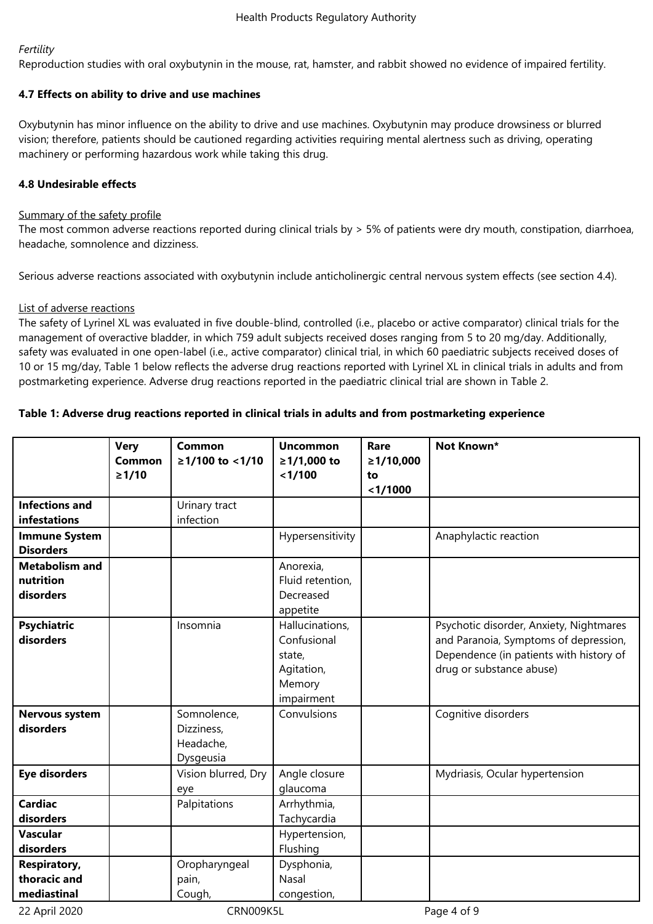# *Fertility*

Reproduction studies with oral oxybutynin in the mouse, rat, hamster, and rabbit showed no evidence of impaired fertility.

# **4.7 Effects on ability to drive and use machines**

Oxybutynin has minor influence on the ability to drive and use machines. Oxybutynin may produce drowsiness or blurred vision; therefore, patients should be cautioned regarding activities requiring mental alertness such as driving, operating machinery or performing hazardous work while taking this drug.

# **4.8 Undesirable effects**

# Summary of the safety profile

The most common adverse reactions reported during clinical trials by > 5% of patients were dry mouth, constipation, diarrhoea, headache, somnolence and dizziness.

Serious adverse reactions associated with oxybutynin include anticholinergic central nervous system effects (see section 4.4).

# List of adverse reactions

The safety of Lyrinel XL was evaluated in five double-blind, controlled (i.e., placebo or active comparator) clinical trials for the management of overactive bladder, in which 759 adult subjects received doses ranging from 5 to 20 mg/day. Additionally, safety was evaluated in one open-label (i.e., active comparator) clinical trial, in which 60 paediatric subjects received doses of 10 or 15 mg/day, Table 1 below reflects the adverse drug reactions reported with Lyrinel XL in clinical trials in adults and from postmarketing experience. Adverse drug reactions reported in the paediatric clinical trial are shown in Table 2.

# **Table 1: Adverse drug reactions reported in clinical trials in adults and from postmarketing experience**

|                                                    | <b>Very</b><br><b>Common</b><br>$\geq 1/10$ | <b>Common</b><br>≥1/100 to <1/10                    | <b>Uncommon</b><br>≥1/1,000 to<br>< 1/100                                      | Rare<br>≥1/10,000<br>to<br>$1/1000$ | Not Known*                                                                                                                                              |
|----------------------------------------------------|---------------------------------------------|-----------------------------------------------------|--------------------------------------------------------------------------------|-------------------------------------|---------------------------------------------------------------------------------------------------------------------------------------------------------|
| <b>Infections and</b><br>infestations              |                                             | Urinary tract<br>infection                          |                                                                                |                                     |                                                                                                                                                         |
| <b>Immune System</b><br><b>Disorders</b>           |                                             |                                                     | Hypersensitivity                                                               |                                     | Anaphylactic reaction                                                                                                                                   |
| <b>Metabolism and</b><br>nutrition<br>disorders    |                                             |                                                     | Anorexia,<br>Fluid retention,<br>Decreased<br>appetite                         |                                     |                                                                                                                                                         |
| <b>Psychiatric</b><br>disorders                    |                                             | Insomnia                                            | Hallucinations,<br>Confusional<br>state,<br>Agitation,<br>Memory<br>impairment |                                     | Psychotic disorder, Anxiety, Nightmares<br>and Paranoia, Symptoms of depression,<br>Dependence (in patients with history of<br>drug or substance abuse) |
| <b>Nervous system</b><br>disorders                 |                                             | Somnolence,<br>Dizziness,<br>Headache,<br>Dysgeusia | Convulsions                                                                    |                                     | Cognitive disorders                                                                                                                                     |
| <b>Eye disorders</b>                               |                                             | Vision blurred, Dry<br>eye                          | Angle closure<br>glaucoma                                                      |                                     | Mydriasis, Ocular hypertension                                                                                                                          |
| <b>Cardiac</b><br>disorders                        |                                             | Palpitations                                        | Arrhythmia,<br>Tachycardia                                                     |                                     |                                                                                                                                                         |
| <b>Vascular</b><br>disorders                       |                                             |                                                     | Hypertension,<br>Flushing                                                      |                                     |                                                                                                                                                         |
| <b>Respiratory,</b><br>thoracic and<br>mediastinal |                                             | Oropharyngeal<br>pain,<br>Cough,                    | Dysphonia,<br>Nasal<br>congestion,                                             |                                     |                                                                                                                                                         |

22 April 2020 CRN009K5L Page 4 of 9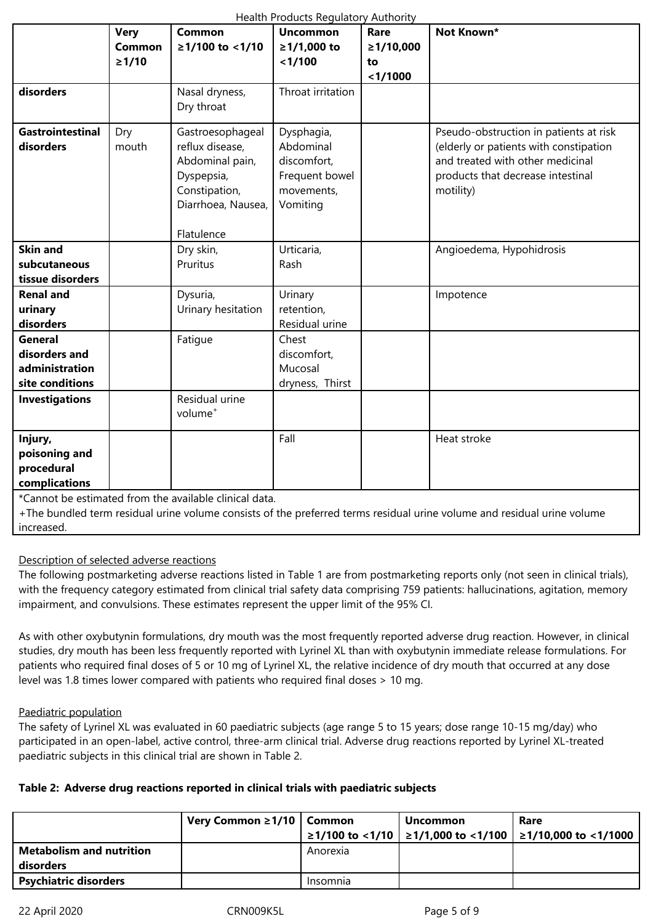| Health Products Regulatory Authority |               |                     |                   |                 |                                        |  |
|--------------------------------------|---------------|---------------------|-------------------|-----------------|----------------------------------------|--|
|                                      | <b>Very</b>   | <b>Common</b>       | <b>Uncommon</b>   | Rare            | Not Known*                             |  |
|                                      | <b>Common</b> | ≥1/100 to <1/10     | ≥1/1,000 to       | $\geq 1/10,000$ |                                        |  |
|                                      | $\geq 1/10$   |                     | < 1/100           | to              |                                        |  |
|                                      |               |                     |                   | < 1/1000        |                                        |  |
| disorders                            |               | Nasal dryness,      | Throat irritation |                 |                                        |  |
|                                      |               | Dry throat          |                   |                 |                                        |  |
| <b>Gastrointestinal</b>              | Dry           | Gastroesophageal    | Dysphagia,        |                 | Pseudo-obstruction in patients at risk |  |
| disorders                            | mouth         | reflux disease,     | Abdominal         |                 | (elderly or patients with constipation |  |
|                                      |               | Abdominal pain,     | discomfort,       |                 | and treated with other medicinal       |  |
|                                      |               | Dyspepsia,          | Frequent bowel    |                 | products that decrease intestinal      |  |
|                                      |               | Constipation,       | movements,        |                 | motility)                              |  |
|                                      |               | Diarrhoea, Nausea,  | Vomiting          |                 |                                        |  |
|                                      |               |                     |                   |                 |                                        |  |
|                                      |               | Flatulence          |                   |                 |                                        |  |
| <b>Skin and</b>                      |               | Dry skin,           | Urticaria,        |                 | Angioedema, Hypohidrosis               |  |
| subcutaneous                         |               | Pruritus            | Rash              |                 |                                        |  |
| tissue disorders                     |               |                     |                   |                 |                                        |  |
| <b>Renal and</b>                     |               | Dysuria,            | Urinary           |                 | Impotence                              |  |
| urinary                              |               | Urinary hesitation  | retention,        |                 |                                        |  |
| disorders                            |               |                     | Residual urine    |                 |                                        |  |
| <b>General</b>                       |               | Fatigue             | Chest             |                 |                                        |  |
| disorders and                        |               |                     | discomfort,       |                 |                                        |  |
| administration                       |               |                     | Mucosal           |                 |                                        |  |
| site conditions                      |               |                     | dryness, Thirst   |                 |                                        |  |
| <b>Investigations</b>                |               | Residual urine      |                   |                 |                                        |  |
|                                      |               | volume <sup>+</sup> |                   |                 |                                        |  |
|                                      |               |                     |                   |                 |                                        |  |
| Injury,                              |               |                     | Fall              |                 | Heat stroke                            |  |
| poisoning and                        |               |                     |                   |                 |                                        |  |
| procedural                           |               |                     |                   |                 |                                        |  |
| complications                        |               |                     |                   |                 |                                        |  |

\*Cannot be estimated from the available clinical data.

+The bundled term residual urine volume consists of the preferred terms residual urine volume and residual urine volume increased.

# Description of selected adverse reactions

The following postmarketing adverse reactions listed in Table 1 are from postmarketing reports only (not seen in clinical trials), with the frequency category estimated from clinical trial safety data comprising 759 patients: hallucinations, agitation, memory impairment, and convulsions. These estimates represent the upper limit of the 95% CI.

As with other oxybutynin formulations, dry mouth was the most frequently reported adverse drug reaction. However, in clinical studies, dry mouth has been less frequently reported with Lyrinel XL than with oxybutynin immediate release formulations. For patients who required final doses of 5 or 10 mg of Lyrinel XL, the relative incidence of dry mouth that occurred at any dose level was 1.8 times lower compared with patients who required final doses > 10 mg.

# Paediatric population

The safety of Lyrinel XL was evaluated in 60 paediatric subjects (age range 5 to 15 years; dose range 10-15 mg/day) who participated in an open-label, active control, three-arm clinical trial. Adverse drug reactions reported by Lyrinel XL-treated paediatric subjects in this clinical trial are shown in Table 2.

# **Table 2: Adverse drug reactions reported in clinical trials with paediatric subjects**

|                                 | Very Common $\geq 1/10$ Common |          | Uncommon | Rare                                                                      |
|---------------------------------|--------------------------------|----------|----------|---------------------------------------------------------------------------|
|                                 |                                |          |          | $\geq$ 1/100 to <1/10 $\geq$ 1/1,000 to <1/100 $\geq$ 1/10,000 to <1/1000 |
| <b>Metabolism and nutrition</b> |                                | Anorexia |          |                                                                           |
| disorders                       |                                |          |          |                                                                           |
| <b>Psychiatric disorders</b>    |                                | Insomnia |          |                                                                           |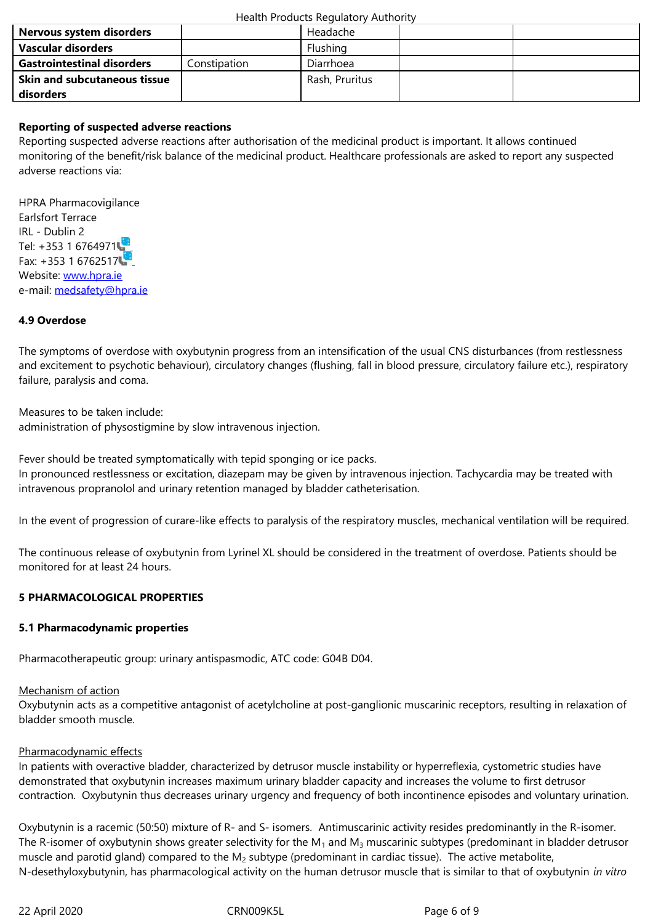| <b>Gastrointestinal disorders</b>   | Constipation | <b>Diarrhoea</b> |  |
|-------------------------------------|--------------|------------------|--|
| <b>Skin and subcutaneous tissue</b> |              | Rash, Pruritus   |  |
| disorders                           |              |                  |  |

## **Reporting of suspected adverse reactions**

Reporting suspected adverse reactions after authorisation of the medicinal product is important. It allows continued monitoring of the benefit/risk balance of the medicinal product. Healthcare professionals are asked to report any suspected adverse reactions via:

HPRA Pharmacovigilance Earlsfort Terrace IRL - Dublin 2 Tel: +353 1 6764971 Fax: +353 1 6762517 Website: www.hpra.ie e-mail: medsafety@hpra.ie

## **4.9 Over[dose](http://www.hpra.ie/)**

The sy[mptoms of overdose](mailto:medsafety@hpra.ie) with oxybutynin progress from an intensification of the usual CNS disturbances (from restlessness and excitement to psychotic behaviour), circulatory changes (flushing, fall in blood pressure, circulatory failure etc.), respiratory failure, paralysis and coma.

Measures to be taken include: administration of physostigmine by slow intravenous injection.

Fever should be treated symptomatically with tepid sponging or ice packs. In pronounced restlessness or excitation, diazepam may be given by intravenous injection. Tachycardia may be treated with intravenous propranolol and urinary retention managed by bladder catheterisation.

In the event of progression of curare-like effects to paralysis of the respiratory muscles, mechanical ventilation will be required.

The continuous release of oxybutynin from Lyrinel XL should be considered in the treatment of overdose. Patients should be monitored for at least 24 hours.

#### **5 PHARMACOLOGICAL PROPERTIES**

#### **5.1 Pharmacodynamic properties**

Pharmacotherapeutic group: urinary antispasmodic, ATC code: G04B D04.

#### Mechanism of action

Oxybutynin acts as a competitive antagonist of acetylcholine at post-ganglionic muscarinic receptors, resulting in relaxation of bladder smooth muscle.

#### Pharmacodynamic effects

In patients with overactive bladder, characterized by detrusor muscle instability or hyperreflexia, cystometric studies have demonstrated that oxybutynin increases maximum urinary bladder capacity and increases the volume to first detrusor contraction. Oxybutynin thus decreases urinary urgency and frequency of both incontinence episodes and voluntary urination.

Oxybutynin is a racemic (50:50) mixture of R- and S- isomers. Antimuscarinic activity resides predominantly in the R-isomer. The R-isomer of oxybutynin shows greater selectivity for the  $M_1$  and  $M_3$  muscarinic subtypes (predominant in bladder detrusor muscle and parotid gland) compared to the  $M_2$  subtype (predominant in cardiac tissue). The active metabolite, N-desethyloxybutynin, has pharmacological activity on the human detrusor muscle that is similar to that of oxybutynin *in vitro*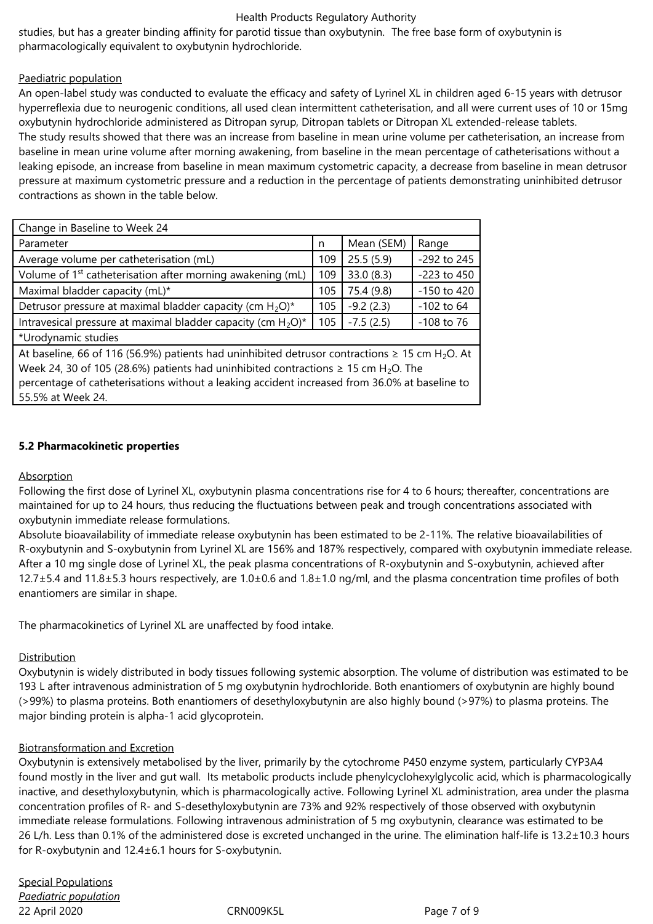#### Health Products Regulatory Authority

studies, but has a greater binding affinity for parotid tissue than oxybutynin. The free base form of oxybutynin is pharmacologically equivalent to oxybutynin hydrochloride.

## Paediatric population

An open-label study was conducted to evaluate the efficacy and safety of Lyrinel XL in children aged 6-15 years with detrusor hyperreflexia due to neurogenic conditions, all used clean intermittent catheterisation, and all were current uses of 10 or 15mg oxybutynin hydrochloride administered as Ditropan syrup, Ditropan tablets or Ditropan XL extended-release tablets.

The study results showed that there was an increase from baseline in mean urine volume per catheterisation, an increase from baseline in mean urine volume after morning awakening, from baseline in the mean percentage of catheterisations without a leaking episode, an increase from baseline in mean maximum cystometric capacity, a decrease from baseline in mean detrusor pressure at maximum cystometric pressure and a reduction in the percentage of patients demonstrating uninhibited detrusor contractions as shown in the table below.

| Change in Baseline to Week 24                                                                                                                                                                                          |     |             |              |  |  |
|------------------------------------------------------------------------------------------------------------------------------------------------------------------------------------------------------------------------|-----|-------------|--------------|--|--|
| Parameter                                                                                                                                                                                                              | n   | Mean (SEM)  | Range        |  |  |
| Average volume per catheterisation (mL)                                                                                                                                                                                | 109 | 25.5(5.9)   | -292 to 245  |  |  |
| Volume of 1 <sup>st</sup> catheterisation after morning awakening (mL)                                                                                                                                                 | 109 | 33.0(8.3)   | -223 to 450  |  |  |
| Maximal bladder capacity (mL)*                                                                                                                                                                                         | 105 | 75.4 (9.8)  | -150 to 420  |  |  |
| Detrusor pressure at maximal bladder capacity (cm $H_2O$ )*                                                                                                                                                            | 105 | $-9.2(2.3)$ | $-102$ to 64 |  |  |
| Intravesical pressure at maximal bladder capacity (cm $H_2O$ )*<br>$-7.5(2.5)$<br>105                                                                                                                                  |     |             | $-108$ to 76 |  |  |
| *Urodynamic studies                                                                                                                                                                                                    |     |             |              |  |  |
| At baseline, 66 of 116 (56.9%) patients had uninhibited detrusor contractions $\geq$ 15 cm H <sub>2</sub> O. At<br>Week 24, 30 of 105 (28.6%) patients had uninhibited contractions $\geq$ 15 cm H <sub>2</sub> O. The |     |             |              |  |  |

percentage of catheterisations without a leaking accident increased from 36.0% at baseline to 55.5% at Week 24.

## **5.2 Pharmacokinetic properties**

#### Absorption

Following the first dose of Lyrinel XL, oxybutynin plasma concentrations rise for 4 to 6 hours; thereafter, concentrations are maintained for up to 24 hours, thus reducing the fluctuations between peak and trough concentrations associated with oxybutynin immediate release formulations.

Absolute bioavailability of immediate release oxybutynin has been estimated to be 2-11%. The relative bioavailabilities of R-oxybutynin and S-oxybutynin from Lyrinel XL are 156% and 187% respectively, compared with oxybutynin immediate release. After a 10 mg single dose of Lyrinel XL, the peak plasma concentrations of R-oxybutynin and S-oxybutynin, achieved after  $12.7\pm5.4$  and  $11.8\pm5.3$  hours respectively, are  $1.0\pm0.6$  and  $1.8\pm1.0$  ng/ml, and the plasma concentration time profiles of both enantiomers are similar in shape.

The pharmacokinetics of Lyrinel XL are unaffected by food intake.

# **Distribution**

Oxybutynin is widely distributed in body tissues following systemic absorption. The volume of distribution was estimated to be 193 L after intravenous administration of 5 mg oxybutynin hydrochloride. Both enantiomers of oxybutynin are highly bound (>99%) to plasma proteins. Both enantiomers of desethyloxybutynin are also highly bound (>97%) to plasma proteins. The major binding protein is alpha-1 acid glycoprotein.

#### Biotransformation and Excretion

Oxybutynin is extensively metabolised by the liver, primarily by the cytochrome P450 enzyme system, particularly CYP3A4 found mostly in the liver and gut wall. Its metabolic products include phenylcyclohexylglycolic acid, which is pharmacologically inactive, and desethyloxybutynin, which is pharmacologically active. Following Lyrinel XL administration, area under the plasma concentration profiles of R- and S-desethyloxybutynin are 73% and 92% respectively of those observed with oxybutynin immediate release formulations. Following intravenous administration of 5 mg oxybutynin, clearance was estimated to be 26 L/h. Less than 0.1% of the administered dose is excreted unchanged in the urine. The elimination half-life is 13.2±10.3 hours for R-oxybutynin and 12.4±6.1 hours for S-oxybutynin.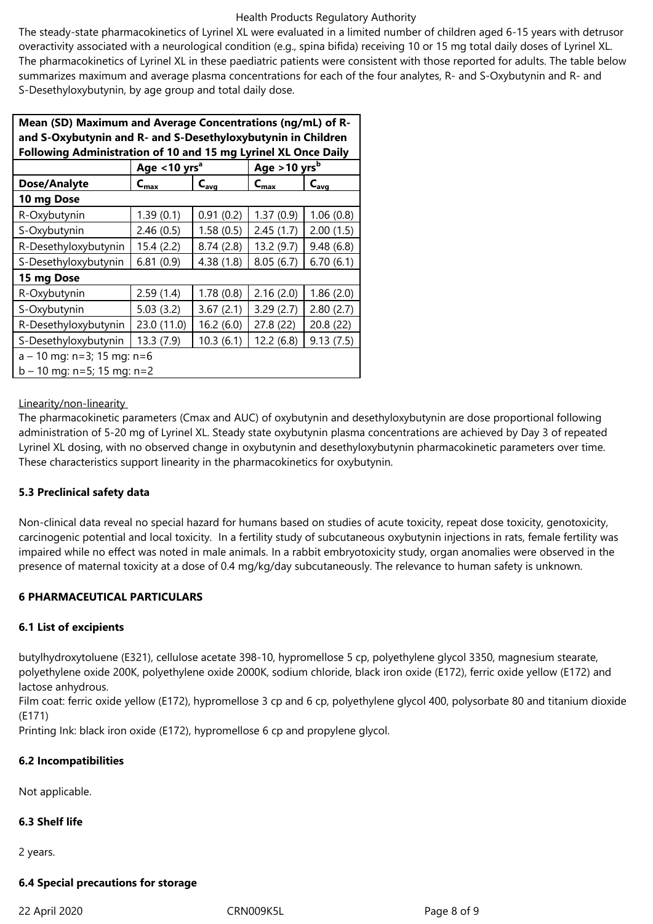#### Health Products Regulatory Authority

The steady-state pharmacokinetics of Lyrinel XL were evaluated in a limited number of children aged 6-15 years with detrusor overactivity associated with a neurological condition (e.g., spina bifida) receiving 10 or 15 mg total daily doses of Lyrinel XL. The pharmacokinetics of Lyrinel XL in these paediatric patients were consistent with those reported for adults. The table below summarizes maximum and average plasma concentrations for each of the four analytes, R- and S-Oxybutynin and R- and S-Desethyloxybutynin, by age group and total daily dose.

| Mean (SD) Maximum and Average Concentrations (ng/mL) of R-     |                             |            |                            |           |  |  |  |
|----------------------------------------------------------------|-----------------------------|------------|----------------------------|-----------|--|--|--|
| and S-Oxybutynin and R- and S-Desethyloxybutynin in Children   |                             |            |                            |           |  |  |  |
| Following Administration of 10 and 15 mg Lyrinel XL Once Daily |                             |            |                            |           |  |  |  |
|                                                                | Age $<$ 10 yrs <sup>a</sup> |            | Age $>10$ yrs <sup>b</sup> |           |  |  |  |
| Dose/Analyte                                                   | $C_{\text{max}}$            | $C_{avg}$  | $C_{\text{max}}$           | $C_{avg}$ |  |  |  |
| 10 mg Dose                                                     |                             |            |                            |           |  |  |  |
| R-Oxybutynin                                                   | 1.39(0.1)                   | 0.91(0.2)  | 1.37(0.9)                  | 1.06(0.8) |  |  |  |
| S-Oxybutynin                                                   | 2.46(0.5)                   | 1.58(0.5)  | 2.45(1.7)                  | 2.00(1.5) |  |  |  |
| R-Desethyloxybutynin                                           | 15.4 (2.2)                  | 8.74(2.8)  | 13.2 (9.7)                 | 9.48(6.8) |  |  |  |
| S-Desethyloxybutynin                                           | 6.81(0.9)                   | 4.38 (1.8) | 8.05(6.7)                  | 6.70(6.1) |  |  |  |
| 15 mg Dose                                                     |                             |            |                            |           |  |  |  |
| R-Oxybutynin                                                   | 2.59(1.4)                   | 1.78(0.8)  | 2.16(2.0)                  | 1.86(2.0) |  |  |  |
| S-Oxybutynin                                                   | 5.03(3.2)                   | 3.67(2.1)  | 3.29(2.7)                  | 2.80(2.7) |  |  |  |
| R-Desethyloxybutynin                                           | 23.0 (11.0)                 | 16.2(6.0)  | 27.8 (22)                  | 20.8(22)  |  |  |  |
| S-Desethyloxybutynin                                           | 13.3 (7.9)                  | 10.3(6.1)  | 12.2(6.8)                  | 9.13(7.5) |  |  |  |
| $a - 10$ mg: n=3; 15 mg: n=6                                   |                             |            |                            |           |  |  |  |
| $b - 10$ mg: n=5; 15 mg: n=2                                   |                             |            |                            |           |  |  |  |

#### Linearity/non-linearity

The pharmacokinetic parameters (Cmax and AUC) of oxybutynin and desethyloxybutynin are dose proportional following administration of 5-20 mg of Lyrinel XL. Steady state oxybutynin plasma concentrations are achieved by Day 3 of repeated Lyrinel XL dosing, with no observed change in oxybutynin and desethyloxybutynin pharmacokinetic parameters over time. These characteristics support linearity in the pharmacokinetics for oxybutynin.

#### **5.3 Preclinical safety data**

Non-clinical data reveal no special hazard for humans based on studies of acute toxicity, repeat dose toxicity, genotoxicity, carcinogenic potential and local toxicity. In a fertility study of subcutaneous oxybutynin injections in rats, female fertility was impaired while no effect was noted in male animals. In a rabbit embryotoxicity study, organ anomalies were observed in the presence of maternal toxicity at a dose of 0.4 mg/kg/day subcutaneously. The relevance to human safety is unknown.

#### **6 PHARMACEUTICAL PARTICULARS**

#### **6.1 List of excipients**

butylhydroxytoluene (E321), cellulose acetate 398-10, hypromellose 5 cp, polyethylene glycol 3350, magnesium stearate, polyethylene oxide 200K, polyethylene oxide 2000K, sodium chloride, black iron oxide (E172), ferric oxide yellow (E172) and lactose anhydrous.

Film coat: ferric oxide yellow (E172), hypromellose 3 cp and 6 cp, polyethylene glycol 400, polysorbate 80 and titanium dioxide (E171)

Printing Ink: black iron oxide (E172), hypromellose 6 cp and propylene glycol.

#### **6.2 Incompatibilities**

Not applicable.

#### **6.3 Shelf life**

2 years.

#### **6.4 Special precautions for storage**

#### 22 April 2020 CRN009K5L Page 8 of 9